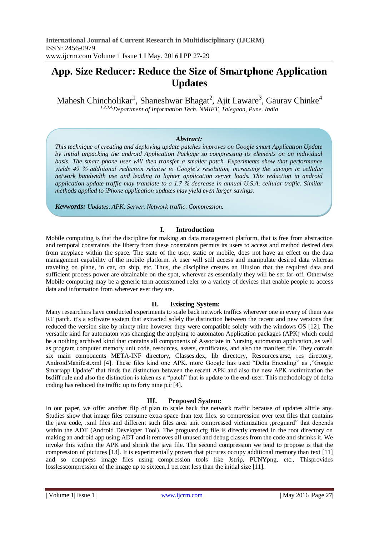# **App. Size Reducer: Reduce the Size of Smartphone Application Updates**

Mahesh Chincholikar<sup>1</sup>, Shaneshwar Bhagat<sup>2</sup>, Ajit Laware<sup>3</sup>, Gaurav Chinke<sup>4</sup> *1,2,3,4,Department of Information Tech. NMIET, Talegaon, Pune. India*

# *Abstract:*

*This technique of creating and deploying update patches improves on Google smart Application Update by initial unpacking the android Application Package so compressing its elements on an individual basis. The smart phone user will then transfer a smaller patch. Experiments show that performance yields 49 % additional reduction relative to Google's resolution, increasing the savings in cellular network bandwidth use and leading to lighter application server loads. This reduction in android application-update traffic may translate to a 1.7 % decrease in annual U.S.A. cellular traffic. Similar methods applied to iPhone application updates may yield even larger savings.*

*Keywords: Updates, APK, Server, Network traffic, Compression.*

# **I. Introduction**

Mobile computing is that the discipline for making an data management platform, that is free from abstraction and temporal constraints. the liberty from these constraints permits its users to access and method desired data from anyplace within the space. The state of the user, static or mobile, does not have an effect on the data management capability of the mobile platform. A user will still access and manipulate desired data whereas traveling on plane, in car, on ship, etc. Thus, the discipline creates an illusion that the required data and sufficient process power are obtainable on the spot, wherever as essentially they will be set far-off. Otherwise Mobile computing may be a generic term accustomed refer to a variety of devices that enable people to access data and information from wherever ever they are.

# **II. Existing System:**

Many researchers have conducted experiments to scale back network traffics wherever one in every of them was RT patch. it's a software system that extracted solely the distinction between the recent and new versions that reduced the version size by ninety nine however they were compatible solely with the windows OS [12]. The versatile kind for automaton was changing the applying to automaton Application packages (APK) which could be a nothing archived kind that contains all components of Associate in Nursing automaton application, as well as program computer memory unit code, resources, assets, certificates, and also the manifest file. They contain six main components META-INF directory, Classes.dex, lib directory, Resources.arsc, res directory, AndroidManifest.xml [4]. These files kind one APK. more Google has used "Delta Encoding" as ,"Google Smartapp Update" that finds the distinction between the recent APK and also the new APK victimization the bsdiff rule and also the distinction is taken as a "patch" that is update to the end-user. This methodology of delta coding has reduced the traffic up to forty nine p.c [4].

# **III. Proposed System:**

In our paper, we offer another flip of plan to scale back the network traffic because of updates alittle any. Studies show that image files consume extra space than text files. so compression over text files that contains the java code, .xml files and different such files area unit compressed victimization ,proguard" that depends within the ADT (Android Developer Tool). The proguard.cfg file is directly created in the root directory on making an android app using ADT and it removes all unused and debug classes from the code and shrinks it. We invoke this within the APK and shrink the java file. The second compression we tend to propose is that the compression of pictures [13]. It is experimentally proven that pictures occupy additional memory than text [11] and so compress image files using compression tools like Jstrip, PUNYpng, etc., Thisprovides lossless compression of the image up to sixteen. 1 percent less than the initial size [11].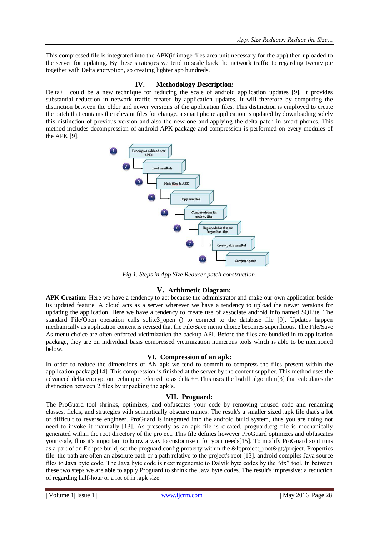This compressed file is integrated into the APK(if image files area unit necessary for the app) then uploaded to the server for updating. By these strategies we tend to scale back the network traffic to regarding twenty p.c together with Delta encryption, so creating lighter app hundreds.

# **IV. Methodology Description:**

Delta++ could be a new technique for reducing the scale of android application updates [9]. It provides substantial reduction in network traffic created by application updates. It will therefore by computing the distinction between the older and newer versions of the application files. This distinction is employed to create the patch that contains the relevant files for change. a smart phone application is updated by downloading solely this distinction of previous version and also the new one and applying the delta patch in smart phones. This method includes decompression of android APK package and compression is performed on every modules of the APK [9].



*Fig 1. Steps in App Size Reducer patch construction.*

# **V. Arithmetic Diagram:**

**APK Creation:** Here we have a tendency to act because the administrator and make our own application beside its updated feature. A cloud acts as a server wherever we have a tendency to upload the newer versions for updating the application. Here we have a tendency to create use of associate android info named SQLite. The standard File/Open operation calls sqlite3\_open () to connect to the database file [9]. Updates happen mechanically as application content is revised that the File/Save menu choice becomes superfluous. The File/Save As menu choice are often enforced victimization the backup API. Before the files are bundled in to application package, they are on individual basis compressed victimization numerous tools which is able to be mentioned below.

# **VI. Compression of an apk:**

In order to reduce the dimensions of AN apk we tend to commit to compress the files present within the application package[14]. This compression is finished at the server by the content supplier. This method uses the advanced delta encryption technique referred to as delta++.This uses the bsdiff algorithm[3] that calculates the distinction between 2 files by unpacking the apk's.

# **VII. Proguard:**

The ProGuard tool shrinks, optimizes, and obfuscates your code by removing unused code and renaming classes, fields, and strategies with semantically obscure names. The result's a smaller sized .apk file that's a lot of difficult to reverse engineer. ProGuard is integrated into the android build system, thus you are doing not need to invoke it manually [13]. As presently as an apk file is created, proguard.cfg file is mechanically generated within the root directory of the project. This file defines however ProGuard optimizes and obfuscates your code, thus it's important to know a way to customise it for your needs[15]. To modify ProGuard so it runs as a part of an Eclipse build, set the proguard.config property within the <project\_root&gt;/project. Properties file. the path are often an absolute path or a path relative to the project's root [13]. android compiles Java source files to Java byte code. The Java byte code is next regenerate to Dalvik byte codes by the "dx" tool. In between these two steps we are able to apply Proguard to shrink the Java byte codes. The result's impressive: a reduction of regarding half-hour or a lot of in .apk size.